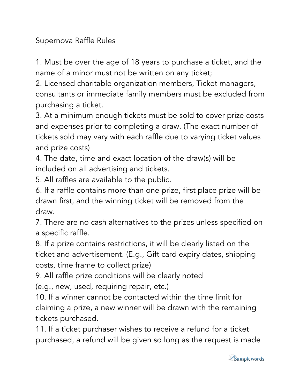Supernova Raffle Rules

1. Must be over the age of 18 years to purchase a ticket, and the name of a minor must not be written on any ticket;

2. Licensed charitable organization members, Ticket managers, consultants or immediate family members must be excluded from purchasing a ticket.

3. At a minimum enough tickets must be sold to cover prize costs and expenses prior to completing a draw. (The exact number of tickets sold may vary with each raffle due to varying ticket values and prize costs)

4. The date, time and exact location of the draw(s) will be included on all advertising and tickets.

5. All raffles are available to the public.

6. If a raffle contains more than one prize, first place prize will be drawn first, and the winning ticket will be removed from the draw.

7. There are no cash alternatives to the prizes unless specified on a specific raffle.

8. If a prize contains restrictions, it will be clearly listed on the ticket and advertisement. (E.g., Gift card expiry dates, shipping costs, time frame to collect prize)

9. All raffle prize conditions will be clearly noted

(e.g., new, used, requiring repair, etc.)

10. If a winner cannot be contacted within the time limit for claiming a prize, a new winner will be drawn with the remaining tickets purchased.

11. If a ticket purchaser wishes to receive a refund for a ticket purchased, a refund will be given so long as the request is made